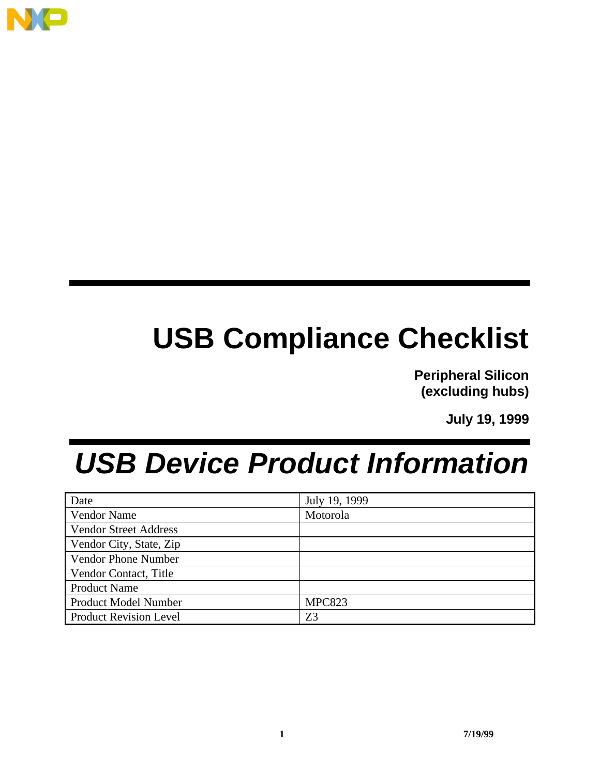

# **USB Compliance Checklist**

**Peripheral Silicon (excluding hubs)**

**July 19, 1999**

# *USB Device Product Information*

| Date                          | July 19, 1999 |
|-------------------------------|---------------|
| <b>Vendor Name</b>            | Motorola      |
| Vendor Street Address         |               |
| Vendor City, State, Zip       |               |
| Vendor Phone Number           |               |
| Vendor Contact, Title         |               |
| <b>Product Name</b>           |               |
| <b>Product Model Number</b>   | <b>MPC823</b> |
| <b>Product Revision Level</b> | Z3            |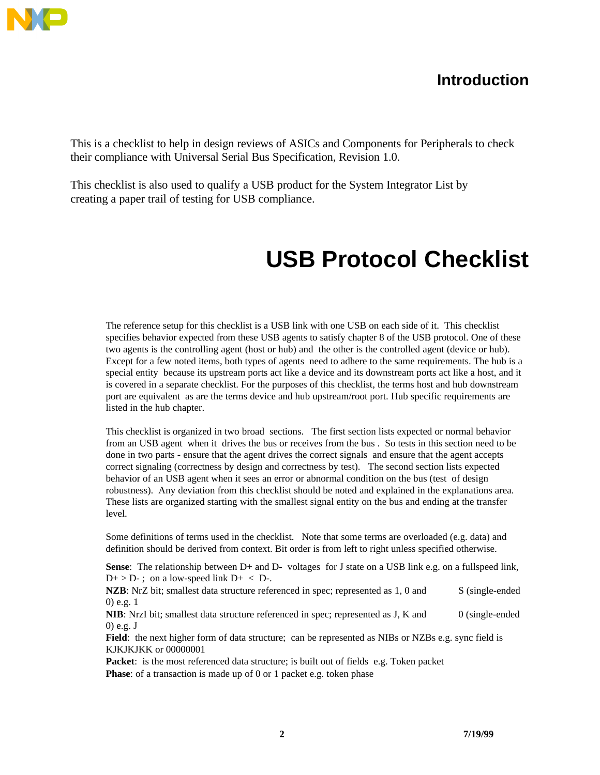

### **Introduction**

This is a checklist to help in design reviews of ASICs and Components for Peripherals to check their compliance with Universal Serial Bus Specification, Revision 1.0.

This checklist is also used to qualify a USB product for the System Integrator List by creating a paper trail of testing for USB compliance.

# **USB Protocol Checklist**

The reference setup for this checklist is a USB link with one USB on each side of it. This checklist specifies behavior expected from these USB agents to satisfy chapter 8 of the USB protocol. One of these two agents is the controlling agent (host or hub) and the other is the controlled agent (device or hub). Except for a few noted items, both types of agents need to adhere to the same requirements. The hub is a special entity because its upstream ports act like a device and its downstream ports act like a host, and it is covered in a separate checklist. For the purposes of this checklist, the terms host and hub downstream port are equivalent as are the terms device and hub upstream/root port. Hub specific requirements are listed in the hub chapter.

This checklist is organized in two broad sections. The first section lists expected or normal behavior from an USB agent when it drives the bus or receives from the bus . So tests in this section need to be done in two parts - ensure that the agent drives the correct signals and ensure that the agent accepts correct signaling (correctness by design and correctness by test). The second section lists expected behavior of an USB agent when it sees an error or abnormal condition on the bus (test of design robustness). Any deviation from this checklist should be noted and explained in the explanations area. These lists are organized starting with the smallest signal entity on the bus and ending at the transfer level.

Some definitions of terms used in the checklist. Note that some terms are overloaded (e.g. data) and definition should be derived from context. Bit order is from left to right unless specified otherwise.

**Sense**: The relationship between D+ and D- voltages for J state on a USB link e.g. on a fullspeed link,  $D+$  > D-; on a low-speed link  $D+$  < D-.

NZB: NrZ bit; smallest data structure referenced in spec; represented as 1, 0 and S (single-ended 0) e.g. 1

**NIB**: NrzI bit; smallest data structure referenced in spec; represented as J, K and 0 (single-ended 0) e.g. J

Field: the next higher form of data structure; can be represented as NIBs or NZBs e.g. sync field is KJKJKJKK or 00000001

**Packet**: is the most referenced data structure; is built out of fields e.g. Token packet **Phase**: of a transaction is made up of 0 or 1 packet e.g. token phase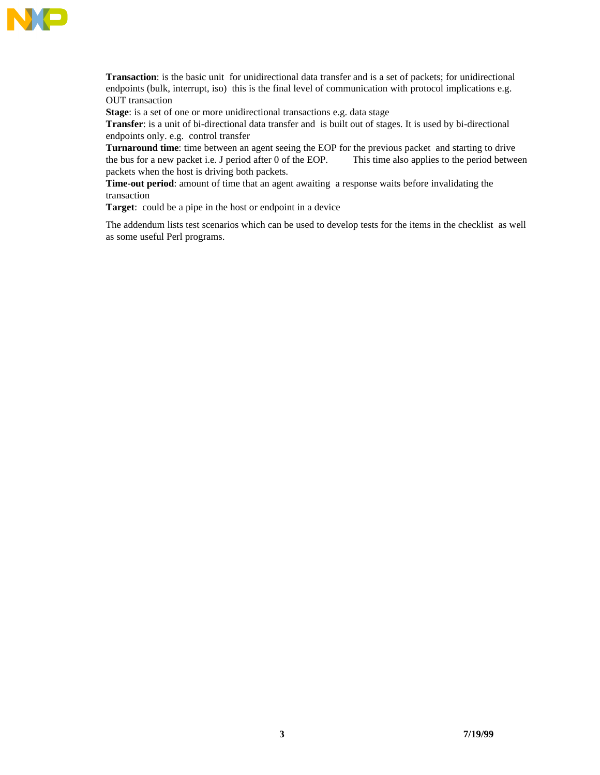

**Transaction**: is the basic unit for unidirectional data transfer and is a set of packets; for unidirectional endpoints (bulk, interrupt, iso) this is the final level of communication with protocol implications e.g. OUT transaction

**Stage**: is a set of one or more unidirectional transactions e.g. data stage

**Transfer**: is a unit of bi-directional data transfer and is built out of stages. It is used by bi-directional endpoints only. e.g. control transfer

**Turnaround time**: time between an agent seeing the EOP for the previous packet and starting to drive the bus for a new packet i.e. J period after 0 of the EOP. This time also applies to the period between packets when the host is driving both packets.

**Time-out period**: amount of time that an agent awaiting a response waits before invalidating the transaction

**Target**: could be a pipe in the host or endpoint in a device

The addendum lists test scenarios which can be used to develop tests for the items in the checklist as well as some useful Perl programs.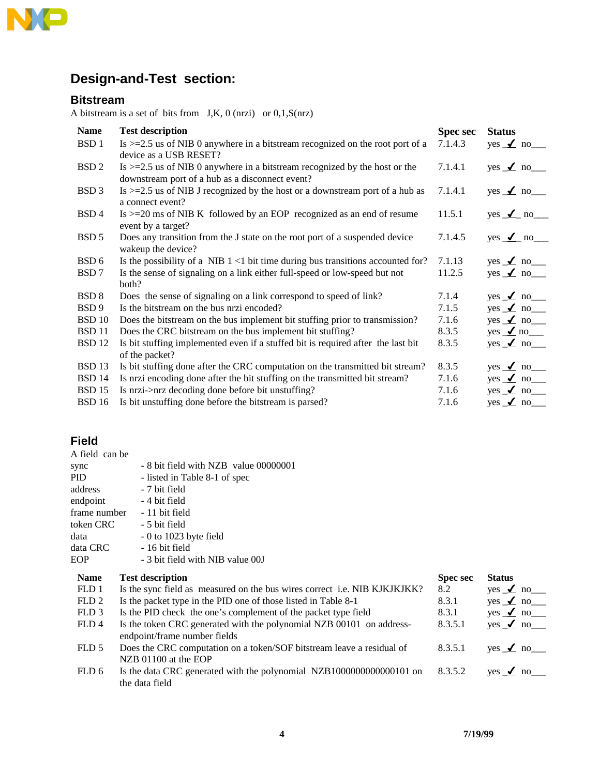

## **Design-and-Test section:**

#### **Bitstream**

A bitstream is a set of bits from  $J,K, 0$  (nrzi) or  $0,1,S(nrz)$ 

| <b>Name</b>       | <b>Test description</b>                                                                                                         | <b>Spec sec</b> | <b>Status</b>            |
|-------------------|---------------------------------------------------------------------------------------------------------------------------------|-----------------|--------------------------|
| BSD <sub>1</sub>  | Is $>=2.5$ us of NIB 0 anywhere in a bitstream recognized on the root port of a<br>device as a USB RESET?                       | 7.1.4.3         | yes $\angle$ no $\equiv$ |
| BSD <sub>2</sub>  | Is $>=2.5$ us of NIB 0 anywhere in a bitstream recognized by the host or the<br>downstream port of a hub as a disconnect event? | 7.1.4.1         | yes $\angle$ no $\equiv$ |
| BSD <sub>3</sub>  | Is $>=2.5$ us of NIB J recognized by the host or a downstream port of a hub as<br>a connect event?                              | 7.1.4.1         | yes $\angle$ no $\equiv$ |
| BSD <sub>4</sub>  | $Is > = 20$ ms of NIB K followed by an EOP recognized as an end of resume<br>event by a target?                                 | 11.5.1          | yes $\angle$ no          |
| BSD <sub>5</sub>  | Does any transition from the J state on the root port of a suspended device<br>wakeup the device?                               | 7.1.4.5         | yes $\angle$ no          |
| BSD <sub>6</sub>  | Is the possibility of a NIB $1 < 1$ bit time during bus transitions accounted for?                                              | 7.1.13          | yes $\angle$ no $\equiv$ |
| BSD 7             | Is the sense of signaling on a link either full-speed or low-speed but not<br>both?                                             | 11.2.5          | yes $\angle$ no $\equiv$ |
| BSD <sub>8</sub>  | Does the sense of signaling on a link correspond to speed of link?                                                              | 7.1.4           | yes $\angle$ no $\equiv$ |
| BSD <sub>9</sub>  | Is the bitstream on the bus nrzi encoded?                                                                                       | 7.1.5           | yes $\angle$ no $\equiv$ |
| <b>BSD 10</b>     | Does the bitstream on the bus implement bit stuffing prior to transmission?                                                     | 7.1.6           | yes $\angle$ no $\equiv$ |
| <b>BSD</b> 11     | Does the CRC bitstream on the bus implement bit stuffing?                                                                       | 8.3.5           | yes $\angle$ no $\equiv$ |
| <b>BSD 12</b>     | Is bit stuffing implemented even if a stuffed bit is required after the last bit<br>of the packet?                              | 8.3.5           | yes $\angle$ no $\equiv$ |
| BSD <sub>13</sub> | Is bit stuffing done after the CRC computation on the transmitted bit stream?                                                   | 8.3.5           | yes $\angle$ no $\equiv$ |
| <b>BSD 14</b>     | Is nrzi encoding done after the bit stuffing on the transmitted bit stream?                                                     | 7.1.6           | yes $\angle$ no $\equiv$ |
| <b>BSD</b> 15     | Is nrzi->nrz decoding done before bit unstuffing?                                                                               | 7.1.6           | yes $\angle$ no $\equiv$ |
| <b>BSD</b> 16     | Is bit unstuffing done before the bitstream is parsed?                                                                          | 7.1.6           | yes $\angle$ no $\equiv$ |

#### **Field**

| A field can be   |                                                                           |                 |                 |
|------------------|---------------------------------------------------------------------------|-----------------|-----------------|
| sync             | - 8 bit field with NZB value 00000001                                     |                 |                 |
| <b>PID</b>       | - listed in Table 8-1 of spec                                             |                 |                 |
| address          | - 7 bit field                                                             |                 |                 |
| endpoint         | - 4 bit field                                                             |                 |                 |
| frame number     | - 11 bit field                                                            |                 |                 |
| token CRC        | - 5 bit field                                                             |                 |                 |
| data             | $-0$ to 1023 byte field                                                   |                 |                 |
| data CRC         | - 16 bit field                                                            |                 |                 |
| EOP              | - 3 bit field with NIB value 00J                                          |                 |                 |
| <b>Name</b>      | <b>Test description</b>                                                   | <b>Spec sec</b> | <b>Status</b>   |
| FLD 1            | Is the sync field as measured on the bus wires correct i.e. NIB KJKJKJKK? | 8.2             | yes $\angle$ no |
| FLD <sub>2</sub> | Is the packet type in the PID one of those listed in Table 8-1            | 8.3.1           | yes $\angle$ no |
| FLD <sub>3</sub> | Is the PID check the one's complement of the packet type field            | 8.3.1           | yes $\angle$ no |
| FLD4             | Is the token CRC generated with the polynomial NZB 00101 on address-      | 8.3.5.1         | yes $\angle$ no |
|                  | endpoint/frame number fields                                              |                 |                 |
| FLD 5            | Does the CRC computation on a token/SOF bitstream leave a residual of     | 8.3.5.1         | yes $\angle$ no |
|                  | NZB 01100 at the EOP                                                      |                 |                 |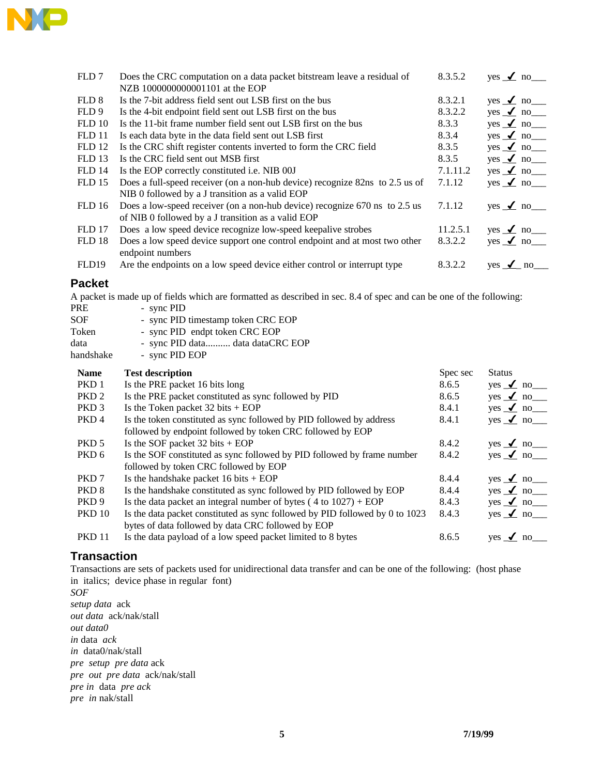

| FLD7              | Does the CRC computation on a data packet bitstream leave a residual of<br>NZB 1000000000001101 at the EOP | 8.3.5.2  | yes $\angle$ no                        |
|-------------------|------------------------------------------------------------------------------------------------------------|----------|----------------------------------------|
| FLD <sub>8</sub>  | Is the 7-bit address field sent out LSB first on the bus                                                   | 8.3.2.1  | $yes \t m$ no $\overline{\phantom{a}}$ |
| FLD 9             | Is the 4-bit endpoint field sent out LSB first on the bus                                                  | 8.3.2.2  | $yes \t m$ no $\overline{\phantom{a}}$ |
| FLD10             | Is the 11-bit frame number field sent out LSB first on the bus                                             | 8.3.3    | yes $\angle$ no $\equiv$               |
| FLD <sub>11</sub> | Is each data byte in the data field sent out LSB first                                                     | 8.3.4    | $yes \t m$ no $\overline{\phantom{a}}$ |
| <b>FLD 12</b>     | Is the CRC shift register contents inverted to form the CRC field                                          | 8.3.5    | $yes \t m$ no $\overline{\phantom{a}}$ |
| <b>FLD</b> 13     | Is the CRC field sent out MSB first                                                                        | 8.3.5    | $yes \t m$ no $\overline{\phantom{a}}$ |
| <b>FLD 14</b>     | Is the EOP correctly constituted i.e. NIB 00J                                                              | 7.1.11.2 | yes $\angle$ no $\equiv$               |
| FLD15             | Does a full-speed receiver (on a non-hub device) recognize 82ns to 2.5 us of                               | 7.1.12   | yes $\angle$ no $\equiv$               |
|                   | NIB 0 followed by a J transition as a valid EOP                                                            |          |                                        |
| <b>FLD</b> 16     | Does a low-speed receiver (on a non-hub device) recognize 670 ns to 2.5 us                                 | 7.1.12   | yes $\angle$ no                        |
|                   | of NIB 0 followed by a J transition as a valid EOP                                                         |          |                                        |
| <b>FLD</b> 17     | Does a low speed device recognize low-speed keepalive strobes                                              | 11.2.5.1 | yes $\angle$ no $\angle$               |
| FLD <sub>18</sub> | Does a low speed device support one control endpoint and at most two other                                 | 8.3.2.2  | yes $\angle$ no $\equiv$               |
|                   | endpoint numbers                                                                                           |          |                                        |
| FLD19             | Are the endpoints on a low speed device either control or interrupt type                                   | 8.3.2.2  | $\sqrt{ }$ no<br>yes                   |
|                   |                                                                                                            |          |                                        |

#### **Packet**

A packet is made up of fields which are formatted as described in sec. 8.4 of spec and can be one of the following:

- PRE sync PID<br>SOF sync PID - sync PID timestamp token CRC EOP Token - sync PID endpt token CRC EOP data - sync PID data........... data dataCRC EOP<br>handshake - sync PID EOP
- sync PID EOP

| <b>Name</b>      | <b>Test description</b>                                                      | Spec sec | <b>Status</b>            |
|------------------|------------------------------------------------------------------------------|----------|--------------------------|
| PKD 1            | Is the PRE packet 16 bits long                                               | 8.6.5    | $yes \t m$ no            |
| PKD <sub>2</sub> | Is the PRE packet constituted as sync followed by PID                        | 8.6.5    | yes $\angle$ no $\equiv$ |
| PKD <sub>3</sub> | Is the Token packet $32 \text{ bits} + \text{EOP}$                           | 8.4.1    | $yes \t m$ no            |
| PKD <sub>4</sub> | Is the token constituted as sync followed by PID followed by address         | 8.4.1    | yes $\angle$ no $\equiv$ |
|                  | followed by endpoint followed by token CRC followed by EOP                   |          |                          |
| PKD 5            | Is the SOF packet $32 \text{ bits} + \text{EOP}$                             | 8.4.2    | $yes \t m$ no            |
| PKD 6            | Is the SOF constituted as sync followed by PID followed by frame number      | 8.4.2    | yes $\angle$ no $\equiv$ |
|                  | followed by token CRC followed by EOP                                        |          |                          |
| PKD 7            | Is the handshake packet $16 \text{ bits} + \text{EOP}$                       | 8.4.4    | $yes \t m$ no            |
| PKD 8            | Is the handshake constituted as sync followed by PID followed by EOP         | 8.4.4    | $yes \t m$ no            |
| PKD 9            | Is the data packet an integral number of bytes $(4 \text{ to } 1027) + EOP$  | 8.4.3    | $yes \t m$ no            |
| <b>PKD</b> 10    | Is the data packet constituted as sync followed by PID followed by 0 to 1023 | 8.4.3    | $yes \t m$ no            |
|                  | bytes of data followed by data CRC followed by EOP                           |          |                          |
| <b>PKD 11</b>    | Is the data payload of a low speed packet limited to 8 bytes                 | 8.6.5    |                          |

#### **Transaction**

Transactions are sets of packets used for unidirectional data transfer and can be one of the following: (host phase in italics; device phase in regular font)

*SOF setup data* ack *out data* ack/nak/stall *out data0 in* data *ack in* data0/nak/stall *pre setup pre data* ack *pre out pre data* ack/nak/stall *pre in* data *pre ack pre in* nak/stall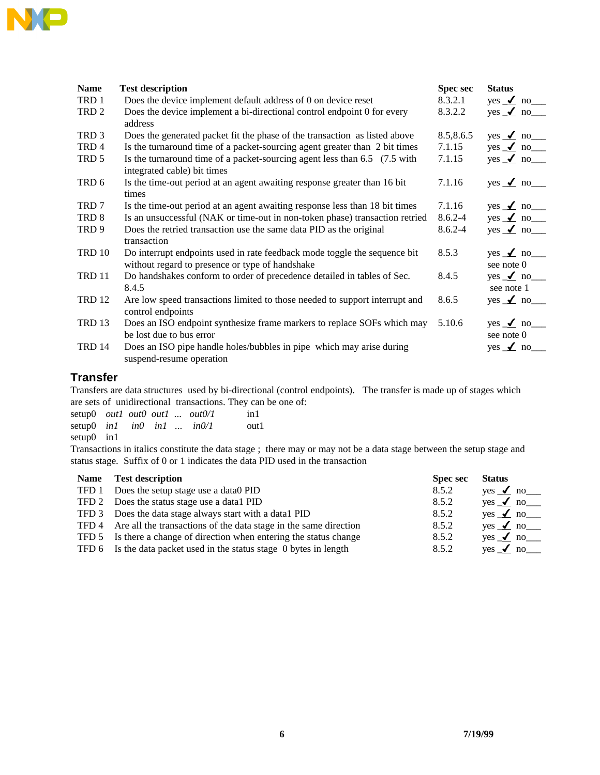

| <b>Name</b>      | <b>Test description</b>                                                                                                      | <b>Spec sec</b> | <b>Status</b>                 |
|------------------|------------------------------------------------------------------------------------------------------------------------------|-----------------|-------------------------------|
| TRD 1            | Does the device implement default address of 0 on device reset                                                               | 8.3.2.1         | yes $\angle$ no $\equiv$      |
| TRD <sub>2</sub> | Does the device implement a bi-directional control endpoint 0 for every<br>address                                           | 8.3.2.2         | yes $\angle$ no $\equiv$      |
| TRD <sub>3</sub> | Does the generated packet fit the phase of the transaction as listed above                                                   | 8.5,8.6.5       | yes $\angle$ no $\equiv$      |
| TRD 4            | Is the turnaround time of a packet-sourcing agent greater than 2 bit times                                                   | 7.1.15          | yes $\angle$ no $\equiv$      |
| TRD 5            | Is the turnaround time of a packet-sourcing agent less than $6.5$ (7.5 with<br>integrated cable) bit times                   | 7.1.15          | yes $\angle$ no               |
| TRD 6            | Is the time-out period at an agent awaiting response greater than 16 bit<br>times                                            | 7.1.16          | yes $\angle$ no               |
| TRD 7            | Is the time-out period at an agent awaiting response less than 18 bit times                                                  | 7.1.16          | yes $\angle$ no $\equiv$      |
| TRD 8            | Is an unsuccessful (NAK or time-out in non-token phase) transaction retried                                                  | $8.6.2 - 4$     | yes $\angle$ no $\equiv$      |
| TRD <sub>9</sub> | Does the retried transaction use the same data PID as the original<br>transaction                                            | $8.6.2 - 4$     | yes $\angle$ no               |
| TRD 10           | Do interrupt endpoints used in rate feedback mode toggle the sequence bit<br>without regard to presence or type of handshake | 8.5.3           | yes $\angle$ no<br>see note 0 |
| TRD 11           | Do handshakes conform to order of precedence detailed in tables of Sec.<br>8.4.5                                             | 8.4.5           | yes $\angle$ no<br>see note 1 |
| <b>TRD 12</b>    | Are low speed transactions limited to those needed to support interrupt and<br>control endpoints                             | 8.6.5           | yes $\angle$ no               |
| TRD 13           | Does an ISO endpoint synthesize frame markers to replace SOFs which may<br>be lost due to bus error                          | 5.10.6          | yes $\angle$ no<br>see note 0 |
| TRD 14           | Does an ISO pipe handle holes/bubbles in pipe which may arise during<br>suspend-resume operation                             |                 | yes $\angle$ no               |

#### **Transfer**

Transfers are data structures used by bi-directional (control endpoints). The transfer is made up of stages which are sets of unidirectional transactions. They can be one of:

setup0 *out1 out0 out1* ... *out0/1* in1<br>setup0 *in1 in0 in1* ... *in0/1* out1  $\text{setup0}$  *in1 in0 in1* ... *in0/1* setup0 in1

Transactions in italics constitute the data stage ; there may or may not be a data stage between the setup stage and status stage. Suffix of 0 or 1 indicates the data PID used in the transaction

|                                      | <b>Spec sec</b>                                                                                                                                                                                                                                                                                                                                            | <b>Status</b>            |
|--------------------------------------|------------------------------------------------------------------------------------------------------------------------------------------------------------------------------------------------------------------------------------------------------------------------------------------------------------------------------------------------------------|--------------------------|
| Does the setup stage use a data0 PID | 8.5.2                                                                                                                                                                                                                                                                                                                                                      | yes $\angle$ no $\equiv$ |
|                                      | 8.5.2                                                                                                                                                                                                                                                                                                                                                      | yes $\angle$ no $\equiv$ |
|                                      | 8.5.2                                                                                                                                                                                                                                                                                                                                                      | yes $\angle$ no $\equiv$ |
|                                      | 8.5.2                                                                                                                                                                                                                                                                                                                                                      | yes $\angle$ no $\equiv$ |
|                                      | 8.5.2                                                                                                                                                                                                                                                                                                                                                      | yes $\angle$ no $\equiv$ |
|                                      | 8.5.2                                                                                                                                                                                                                                                                                                                                                      | yes $\angle$ no          |
|                                      | <b>Test description</b><br>TFD 2 Does the status stage use a data1 PID<br>TFD 3 Does the data stage always start with a data1 PID<br>TFD 4 Are all the transactions of the data stage in the same direction<br>TFD 5 Is there a change of direction when entering the status change<br>TFD 6 Is the data packet used in the status stage 0 bytes in length |                          |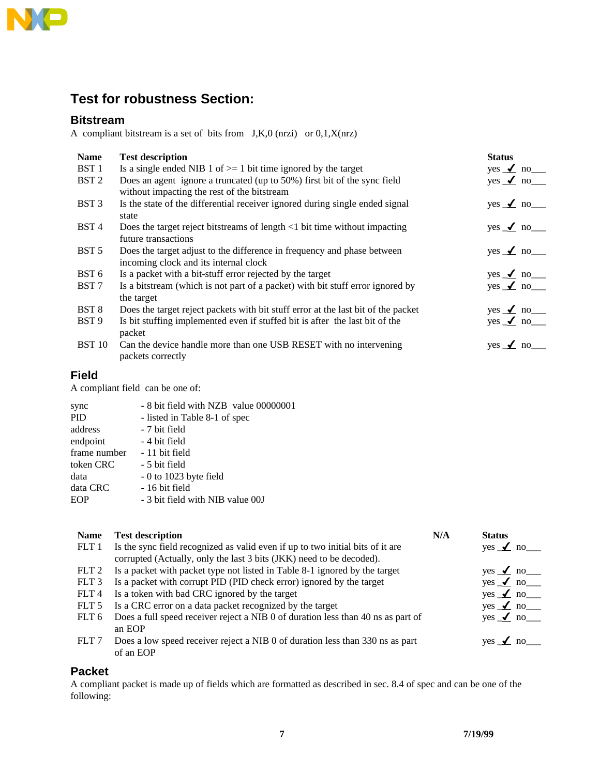

### **Test for robustness Section:**

#### **Bitstream**

A compliant bitstream is a set of bits from J,K,0 (nrzi) or 0,1,X(nrz)

| <b>Name</b>      | <b>Test description</b>                                                                                                 | <b>Status</b>                          |
|------------------|-------------------------------------------------------------------------------------------------------------------------|----------------------------------------|
| BST <sub>1</sub> | Is a single ended NIB 1 of $>=$ 1 bit time ignored by the target                                                        | yes $\angle$ no $\equiv$               |
| BST <sub>2</sub> | Does an agent ignore a truncated (up to 50%) first bit of the sync field<br>without impacting the rest of the bitstream | yes $\angle$ no $\equiv$               |
| BST <sub>3</sub> | Is the state of the differential receiver ignored during single ended signal<br>state                                   | $yes \t m$ no $\overline{\phantom{a}}$ |
| BST <sub>4</sub> | Does the target reject bitstreams of length $\langle 1 \rangle$ bit time without impacting<br>future transactions       | $yes \t m$ no $\overline{\phantom{a}}$ |
| BST <sub>5</sub> | Does the target adjust to the difference in frequency and phase between<br>incoming clock and its internal clock        | $yes \t m$ no $\overline{\phantom{a}}$ |
| BST <sub>6</sub> | Is a packet with a bit-stuff error rejected by the target                                                               | yes $\angle$ no $\equiv$               |
| BST <sub>7</sub> | Is a bitstream (which is not part of a packet) with bit stuff error ignored by<br>the target                            | yes $\angle$ no $\equiv$               |
| BST <sub>8</sub> | Does the target reject packets with bit stuff error at the last bit of the packet                                       | yes $\angle$ no ______                 |
| BST <sub>9</sub> | Is bit stuffing implemented even if stuffed bit is after the last bit of the<br>packet                                  | yes $\angle$ no $\equiv$               |
| <b>BST 10</b>    | Can the device handle more than one USB RESET with no intervening<br>packets correctly                                  | $yes \t m$ no                          |

#### **Field**

A compliant field can be one of:

| - 8 bit field with NZB value 00000001 |
|---------------------------------------|
| - listed in Table 8-1 of spec         |
| - 7 bit field                         |
| - 4 bit field                         |
| - 11 bit field                        |
| - 5 bit field                         |
| $-0$ to 1023 byte field               |
| - 16 bit field                        |
| - 3 bit field with NIB value 00J      |
|                                       |

| <b>Name</b>      | <b>Test description</b>                                                          | N/A | <b>Status</b>                          |
|------------------|----------------------------------------------------------------------------------|-----|----------------------------------------|
| FLT 1            | Is the sync field recognized as valid even if up to two initial bits of it are   |     | yes $\angle$ no                        |
|                  | corrupted (Actually, only the last 3 bits (JKK) need to be decoded).             |     |                                        |
| FLT <sub>2</sub> | Is a packet with packet type not listed in Table 8-1 ignored by the target       |     | yes $\angle$ no $\equiv$               |
| FLT <sub>3</sub> | Is a packet with corrupt PID (PID check error) ignored by the target             |     | $yes \t m$ no $\overline{\phantom{a}}$ |
| FLT <sub>4</sub> | Is a token with bad CRC ignored by the target                                    |     | yes $\angle$ no $\equiv$               |
| FLT <sub>5</sub> | Is a CRC error on a data packet recognized by the target                         |     | yes $\angle$ no $\equiv$               |
| FLT 6            | Does a full speed receiver reject a NIB 0 of duration less than 40 ns as part of |     | yes $\angle$ no $\equiv$               |
|                  | an EOP                                                                           |     |                                        |
| FLT <sub>7</sub> | Does a low speed receiver reject a NIB 0 of duration less than 330 ns as part    |     |                                        |
|                  | of an EOP                                                                        |     |                                        |

#### **Packet**

A compliant packet is made up of fields which are formatted as described in sec. 8.4 of spec and can be one of the following: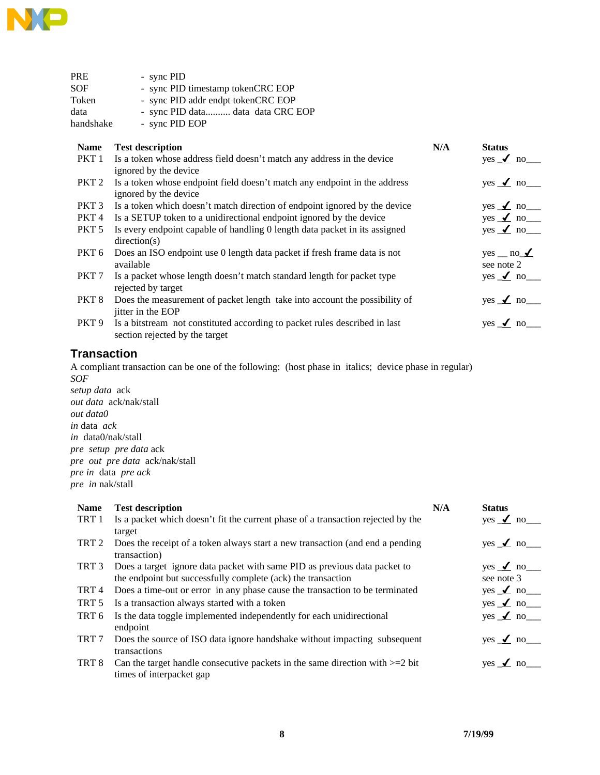

| PRE              | - sync PID                                                                                                   |     |                                         |
|------------------|--------------------------------------------------------------------------------------------------------------|-----|-----------------------------------------|
| SOF              | - sync PID timestamp tokenCRC EOP                                                                            |     |                                         |
| Token            | - sync PID addr endpt tokenCRC EOP                                                                           |     |                                         |
| data             | - sync PID data data data CRC EOP                                                                            |     |                                         |
| handshake        | - sync PID EOP                                                                                               |     |                                         |
| <b>Name</b>      | <b>Test description</b>                                                                                      | N/A | <b>Status</b>                           |
| PKT 1            | Is a token whose address field doesn't match any address in the device<br>ignored by the device              |     | yes $\angle$ no ______                  |
| PKT <sub>2</sub> | Is a token whose endpoint field doesn't match any endpoint in the address<br>ignored by the device           |     | yes $\angle$ no ______                  |
| PKT 3            | Is a token which doesn't match direction of endpoint ignored by the device                                   |     | yes $\angle$ no ______                  |
| PKT 4            | Is a SETUP token to a unidirectional endpoint ignored by the device                                          |     | $yes \t m$ no $-$                       |
| PKT 5            | Is every endpoint capable of handling 0 length data packet in its assigned<br>direction(s)                   |     | yes $\angle$ no $\equiv$                |
| PKT 6            | Does an ISO endpoint use 0 length data packet if fresh frame data is not<br>available                        |     | $yes \_ no \_\mathcal{I}$<br>see note 2 |
| PKT <sub>7</sub> | Is a packet whose length doesn't match standard length for packet type<br>rejected by target                 |     | yes $\angle$ no ______                  |
| PKT <sub>8</sub> | Does the measurement of packet length take into account the possibility of<br>jitter in the EOP              |     | yes $\angle$ no ______                  |
| PKT 9            | Is a bitstream not constituted according to packet rules described in last<br>section rejected by the target |     | yes $\angle$ no                         |
|                  |                                                                                                              |     |                                         |

#### **Transaction**

A compliant transaction can be one of the following: (host phase in italics; device phase in regular) *SOF*

*setup data* ack *out data* ack/nak/stall *out data0 in* data *ack in* data0/nak/stall *pre setup pre data* ack *pre out pre data* ack/nak/stall *pre in* data *pre ack pre in* nak/stall

| <b>Name</b>      | <b>Test description</b>                                                          | N/A | <b>Status</b>            |
|------------------|----------------------------------------------------------------------------------|-----|--------------------------|
| TRT 1            | Is a packet which doesn't fit the current phase of a transaction rejected by the |     | yes $\angle$ no $\equiv$ |
|                  | target                                                                           |     |                          |
| TRT 2            | Does the receipt of a token always start a new transaction (and end a pending    |     | yes $\angle$ no $\equiv$ |
|                  | transaction)                                                                     |     |                          |
| TRT 3            | Does a target ignore data packet with same PID as previous data packet to        |     | yes $\angle$ no $\equiv$ |
|                  | the endpoint but successfully complete (ack) the transaction                     |     | see note 3               |
| TRT 4            | Does a time-out or error in any phase cause the transaction to be terminated     |     | yes $\angle$ no $\equiv$ |
| TRT 5            | Is a transaction always started with a token                                     |     | yes $\angle$ no $\equiv$ |
| TRT 6            | Is the data toggle implemented independently for each unidirectional             |     | yes $\angle$ no $\equiv$ |
|                  | endpoint                                                                         |     |                          |
| TRT <sub>7</sub> | Does the source of ISO data ignore handshake without impacting subsequent        |     | $yes \t m$ no            |
|                  | transactions                                                                     |     |                          |
| TRT 8            | Can the target handle consecutive packets in the same direction with $>=$ 2 bit  |     | yes $\angle$ no          |
|                  | times of interpacket gap                                                         |     |                          |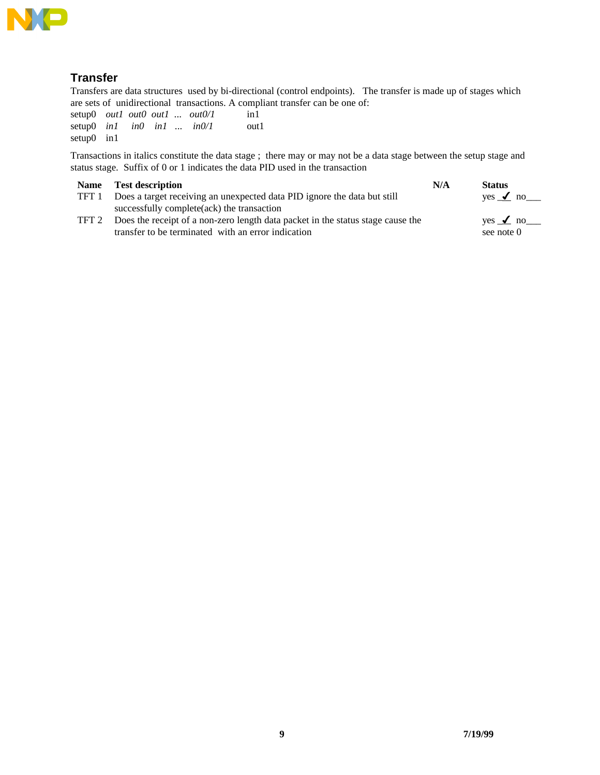

#### **Transfer**

Transfers are data structures used by bi-directional (control endpoints). The transfer is made up of stages which are sets of unidirectional transactions. A compliant transfer can be one of:<br>setup0 *out1 out0 out1* ... *out0/1* in1

setup0 *out1 out0 out1* ... *out0/1* in1<br>setup0 *in1 in0 in1* ... *in0/1* out1  $setup0$  *in1 in0 in1* ... *in0/1* setup0 in1

Transactions in italics constitute the data stage ; there may or may not be a data stage between the setup stage and status stage. Suffix of 0 or 1 indicates the data PID used in the transaction

| <b>Name</b> | <b>Test description</b>                                                         | N/A | <b>Status</b>   |
|-------------|---------------------------------------------------------------------------------|-----|-----------------|
| TFT 1       | Does a target receiving an unexpected data PID ignore the data but still        |     | yes $\angle$ no |
|             | successfully complete(ack) the transaction                                      |     |                 |
| TFT 2       | Does the receipt of a non-zero length data packet in the status stage cause the |     | yes $\angle$ no |
|             | transfer to be terminated with an error indication                              |     | see note 0      |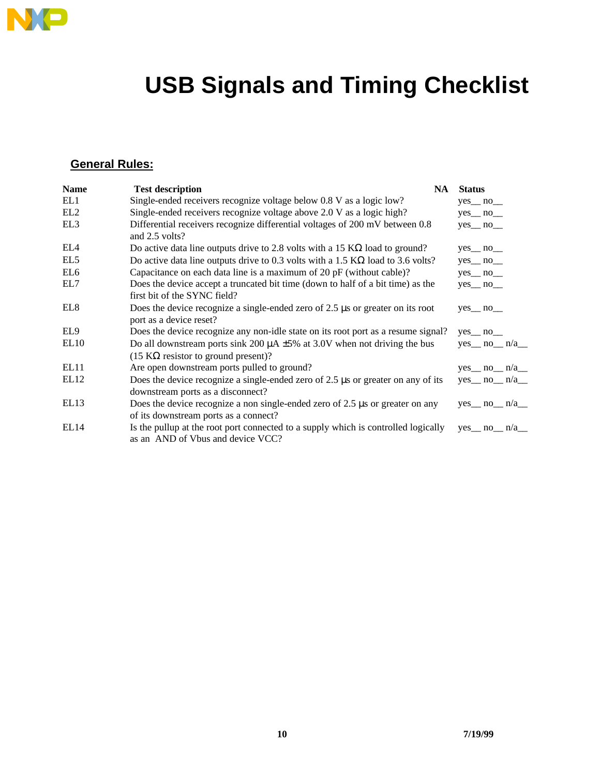

# **USB Signals and Timing Checklist**

### **General Rules:**

| <b>Name</b>      | <b>Test description</b>                                                                                                                          | <b>NA</b> | <b>Status</b>                        |
|------------------|--------------------------------------------------------------------------------------------------------------------------------------------------|-----------|--------------------------------------|
| EL1              | Single-ended receivers recognize voltage below 0.8 V as a logic low?                                                                             |           | $yes$ no $\_\_$                      |
| EL <sub>2</sub>  | Single-ended receivers recognize voltage above 2.0 V as a logic high?                                                                            |           | $yes$ no $\_\$                       |
| EL <sub>3</sub>  | Differential receivers recognize differential voltages of 200 mV between 0.8<br>and 2.5 volts?                                                   |           | $yes$ no $\_\_$                      |
| EL4              | Do active data line outputs drive to 2.8 volts with a 15 $K\Omega$ load to ground?                                                               |           | $yes$ no $\_\_$                      |
| EL5              | Do active data line outputs drive to 0.3 volts with a 1.5 $K\Omega$ load to 3.6 volts?                                                           |           | $yes$ no $\_\$                       |
| EL <sub>6</sub>  | Capacitance on each data line is a maximum of 20 pF (without cable)?                                                                             |           | $yes$ no $\_\_$                      |
| EL7              | Does the device accept a truncated bit time (down to half of a bit time) as the<br>first bit of the SYNC field?                                  |           | $yes$ no $\_\_$                      |
| EL <sub>8</sub>  | Does the device recognize a single-ended zero of $2.5 \mu s$ or greater on its root<br>port as a device reset?                                   |           | $yes$ no $\_\_$                      |
| EL9              | Does the device recognize any non-idle state on its root port as a resume signal?                                                                |           | $yes$ <sub>mo</sub> $n$ <sup>o</sup> |
| EL <sub>10</sub> | Do all downstream ports sink 200 $\mu$ A $\pm$ 5% at 3.0V when not driving the bus<br>$(15 \text{ K}\Omega \text{ resistor}$ to ground present)? |           | $yes$ no $n/a$                       |
| EL11             | Are open downstream ports pulled to ground?                                                                                                      |           | $yes$ no $n/a$                       |
| EL <sub>12</sub> | Does the device recognize a single-ended zero of $2.5 \mu s$ or greater on any of its<br>downstream ports as a disconnect?                       |           | $yes$ no $n/a$                       |
| EL <sub>13</sub> | Does the device recognize a non single-ended zero of $2.5 \mu s$ or greater on any<br>of its downstream ports as a connect?                      |           | $yes$ no $n/a$                       |
| EL <sub>14</sub> | Is the pullup at the root port connected to a supply which is controlled logically<br>as an AND of Vbus and device VCC?                          |           | $yes \tno \t n/a$                    |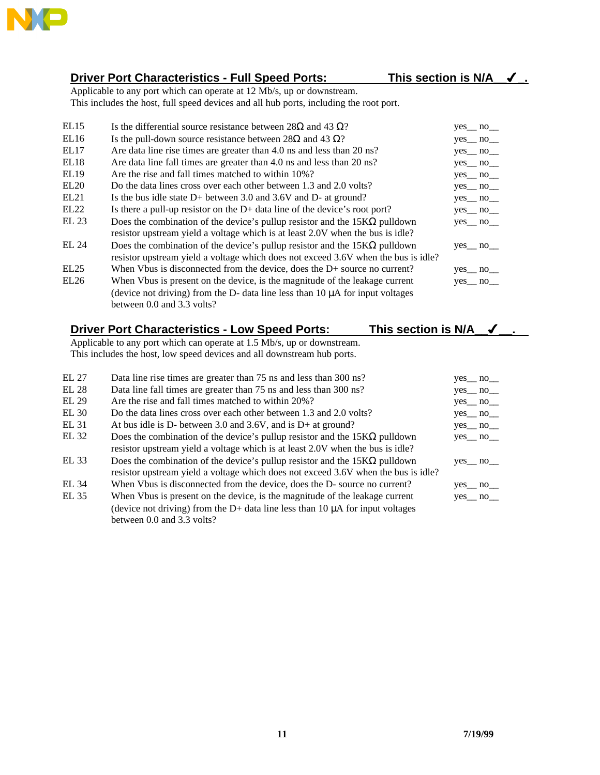

#### **Driver Port Characteristics - Full Speed Ports: This section is N/A\_\_**4**\_.**

Applicable to any port which can operate at 12 Mb/s, up or downstream. This includes the host, full speed devices and all hub ports, including the root port.

| EL15             | Is the differential source resistance between 28Ω and 43 Ω?                        | $yes$ no $\_\_$ |
|------------------|------------------------------------------------------------------------------------|-----------------|
| EL16             | Is the pull-down source resistance between 28 $\Omega$ and 43 $\Omega$ ?           | $yes$ no $\_\_$ |
| EL17             | Are data line rise times are greater than 4.0 ns and less than 20 ns?              | $yes$ no $\_\_$ |
| EL18             | Are data line fall times are greater than 4.0 ns and less than 20 ns?              | $yes$ no $\_\_$ |
| EL19             | Are the rise and fall times matched to within 10%?                                 | $yes$ no $\_\_$ |
| EL20             | Do the data lines cross over each other between 1.3 and 2.0 volts?                 | $yes$ no $\_\_$ |
| EL21             | Is the bus idle state $D+$ between 3.0 and 3.6V and $D-$ at ground?                | $yes$ no $\_\_$ |
| EL <sub>22</sub> | Is there a pull-up resistor on the $D+$ data line of the device's root port?       | $yes$ no $\_\_$ |
| EL 23            | Does the combination of the device's pullup resistor and the $15K\Omega$ pulldown  | $yes$ no $\_\_$ |
|                  | resistor upstream yield a voltage which is at least 2.0V when the bus is idle?     |                 |
| EL 24            | Does the combination of the device's pullup resistor and the $15K\Omega$ pulldown  | $yes$ no $\_\_$ |
|                  | resistor upstream yield a voltage which does not exceed 3.6V when the bus is idle? |                 |
| EL25             | When Vbus is disconnected from the device, does the $D+$ source no current?        | $yes$ no $\_\_$ |
| EL26             | When Vbus is present on the device, is the magnitude of the leakage current        | $yes$ no $\_\_$ |
|                  | (device not driving) from the D- data line less than $10 \mu A$ for input voltages |                 |
|                  | between 0.0 and 3.3 volts?                                                         |                 |

### **Driver Port Characteristics - Low Speed Ports: This section is N/A\_\_**4**\_\_.**

Applicable to any port which can operate at 1.5 Mb/s, up or downstream. This includes the host, low speed devices and all downstream hub ports.

| EL 27 | Data line rise times are greater than 75 ns and less than 300 ns?                    | yes no         |
|-------|--------------------------------------------------------------------------------------|----------------|
| EL 28 | Data line fall times are greater than 75 ns and less than 300 ns?                    | yes no         |
| EL 29 | Are the rise and fall times matched to within 20%?                                   | $yes$ no $\_\$ |
| EL30  | Do the data lines cross over each other between 1.3 and 2.0 volts?                   | yes no         |
| EL 31 | At bus idle is D- between 3.0 and 3.6V, and is D+ at ground?                         | yes no         |
| EL 32 | Does the combination of the device's pullup resistor and the $15K\Omega$ pulldown    | yes no         |
|       | resistor upstream yield a voltage which is at least 2.0V when the bus is idle?       |                |
| EL 33 | Does the combination of the device's pullup resistor and the $15K\Omega$ pulldown    | yes no         |
|       | resistor upstream yield a voltage which does not exceed 3.6V when the bus is idle?   |                |
| EL 34 | When Vbus is disconnected from the device, does the D- source no current?            | yes no         |
| EL 35 | When Vbus is present on the device, is the magnitude of the leakage current          | yes no         |
|       | (device not driving) from the $D+$ data line less than 10 $\mu$ A for input voltages |                |
|       | between 0.0 and 3.3 volts?                                                           |                |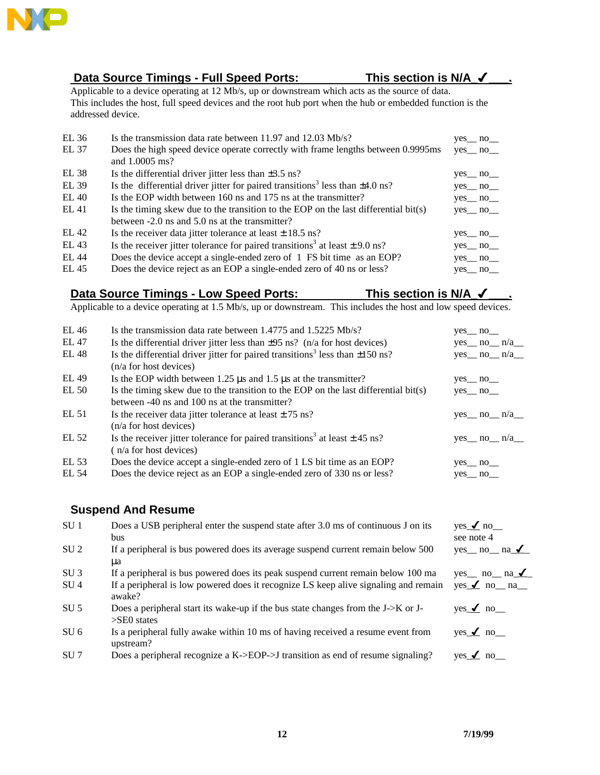

#### **Data Source Timings - Full Speed Ports: This section is N/A\_**4**\_\_\_.**

Applicable to a device operating at 12 Mb/s, up or downstream which acts as the source of data. This includes the host, full speed devices and the root hub port when the hub or embedded function is the addressed device.

| EL 36 | Is the transmission data rate between 11.97 and 12.03 Mb/s?                                   | $yes$ no $\_\_$ |
|-------|-----------------------------------------------------------------------------------------------|-----------------|
| EL 37 | Does the high speed device operate correctly with frame lengths between 0.9995ms              | $yes$ no $\_\_$ |
|       | and 1.0005 ms?                                                                                |                 |
| EL 38 | Is the differential driver jitter less than $\pm 3.5$ ns?                                     | $yes$ no $\_\_$ |
| EL 39 | Is the differential driver jitter for paired transitions <sup>3</sup> less than $\pm 4.0$ ns? | $yes$ no $\_\_$ |
| EL40  | Is the EOP width between 160 ns and 175 ns at the transmitter?                                | yes no          |
| EL 41 | Is the timing skew due to the transition to the EOP on the last differential $bit(s)$         | yes no          |
|       | between -2.0 ns and 5.0 ns at the transmitter?                                                |                 |
| EL 42 | Is the receiver data jitter tolerance at least $\pm$ 18.5 ns?                                 | $yes$ no $\_\_$ |
| EL 43 | Is the receiver jitter tolerance for paired transitions <sup>3</sup> at least $\pm$ 9.0 ns?   | $yes$ no $\_\_$ |
| EL 44 | Does the device accept a single-ended zero of 1 FS bit time as an EOP?                        | $yes$ no $\_\$  |
| EL 45 | Does the device reject as an EOP a single-ended zero of 40 ns or less?                        | yes no          |

#### Data Source Timings - Low Speed Ports: This section is N/A  $\checkmark$

Applicable to a device operating at 1.5 Mb/s, up or downstream. This includes the host and low speed devices.

| EL 46 | Is the transmission data rate between $1.4775$ and $1.5225$ Mb/s?                                                          | $yes$ no $\_\_$ |                |
|-------|----------------------------------------------------------------------------------------------------------------------------|-----------------|----------------|
| EL 47 | Is the differential driver jitter less than $\pm 95$ ns? (n/a for host devices)                                            |                 | $yes$ no $n/a$ |
| EL 48 | Is the differential driver jitter for paired transitions <sup>3</sup> less than $\pm 150$ ns?<br>$(n/a)$ for host devices) |                 | $yes$ no $n/a$ |
| EL 49 | Is the EOP width between $1.25 \,\mu s$ and $1.5 \,\mu s$ at the transmitter?                                              | $yes$ no $\_\_$ |                |
| EL 50 | Is the timing skew due to the transition to the EOP on the last differential bit(s)                                        | $yes$ no $\_\_$ |                |
|       | between -40 ns and 100 ns at the transmitter?                                                                              |                 |                |
| EL 51 | Is the receiver data jitter tolerance at least $\pm$ 75 ns?                                                                |                 | $yes$ no $n/a$ |
|       | $(n/a)$ for host devices)                                                                                                  |                 |                |
| EL 52 | Is the receiver jitter tolerance for paired transitions <sup>3</sup> at least $\pm$ 45 ns?                                 |                 | $yes$ no $n/a$ |
|       | (n/a for host devices)                                                                                                     |                 |                |
| EL 53 | Does the device accept a single-ended zero of 1 LS bit time as an EOP?                                                     | $yes$ no $\_\_$ |                |
| EL 54 | Does the device reject as an EOP a single-ended zero of 330 ns or less?                                                    | yes no          |                |

#### **Suspend And Resume**

| SU <sub>1</sub> | Does a USB peripheral enter the suspend state after 3.0 ms of continuous J on its                        | $yes \angle no$          |
|-----------------|----------------------------------------------------------------------------------------------------------|--------------------------|
|                 | bus                                                                                                      | see note 4               |
| SU <sub>2</sub> | If a peripheral is bus powered does its average suspend current remain below 500                         | yes __ no __ na $\angle$ |
|                 | ua                                                                                                       |                          |
| SU <sub>3</sub> | If a peripheral is bus powered does its peak suspend current remain below 100 ma                         | yes no $na_1$            |
| SU <sub>4</sub> | If a peripheral is low powered does it recognize LS keep alive signaling and remain<br>awake?            | $yes \angle no$ no na    |
| SU <sub>5</sub> | Does a peripheral start its wake-up if the bus state changes from the $J > K$ or $J$ -<br>$>$ SEO states | yes $\angle$ no          |
| SU <sub>6</sub> | Is a peripheral fully awake within 10 ms of having received a resume event from<br>upstream?             | $yes \angle no$          |
| SU <sub>7</sub> | Does a peripheral recognize a K->EOP->J transition as end of resume signaling?                           | yes $\angle$ no          |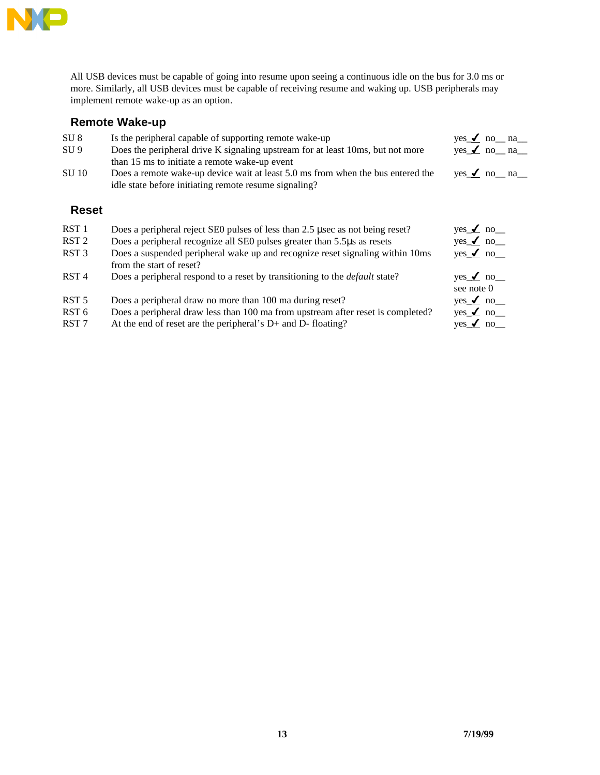

All USB devices must be capable of going into resume upon seeing a continuous idle on the bus for 3.0 ms or more. Similarly, all USB devices must be capable of receiving resume and waking up. USB peripherals may implement remote wake-up as an option.

#### **Remote Wake-up**

| SU <sub>8</sub>  | Is the peripheral capable of supporting remote wake-up                                                                                   | $yes \angle no$ no na         |
|------------------|------------------------------------------------------------------------------------------------------------------------------------------|-------------------------------|
| SU <sub>9</sub>  | Does the peripheral drive K signaling upstream for at least 10ms, but not more<br>than 15 ms to initiate a remote wake-up event          | $yes \angle no$ no na         |
| <b>SU 10</b>     | Does a remote wake-up device wait at least 5.0 ms from when the bus entered the<br>idle state before initiating remote resume signaling? | $yes \angle no$ no na         |
| <b>Reset</b>     |                                                                                                                                          |                               |
| RST <sub>1</sub> | Does a peripheral reject SE0 pulses of less than 2.5 uses as not being reset?                                                            | yes $\angle$ no               |
| RST <sub>2</sub> | Does a peripheral recognize all SEO pulses greater than 5.5 µ as resets                                                                  | $yes \nightharpoonup no$      |
| RST <sub>3</sub> | Does a suspended peripheral wake up and recognize reset signaling within 10ms<br>from the start of reset?                                | yes $\angle$ no               |
| RST <sub>4</sub> | Does a peripheral respond to a reset by transitioning to the <i>default</i> state?                                                       | yes $\angle$ no<br>see note 0 |
| RST <sub>5</sub> | Does a peripheral draw no more than 100 ma during reset?                                                                                 | $yes \nightharpoonup no$      |
| RST <sub>6</sub> | Does a peripheral draw less than 100 ma from upstream after reset is completed?                                                          | yes $\angle$ no               |

RST 7 At the end of reset are the peripheral's D+ and D- floating? yes  $\angle$  no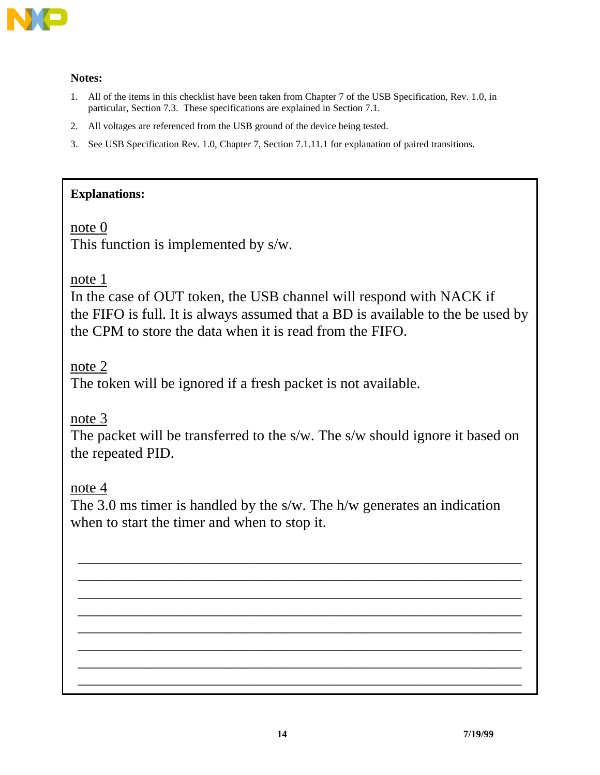

#### **Notes:**

- 1. All of the items in this checklist have been taken from Chapter 7 of the USB Specification, Rev. 1.0, in particular, Section 7.3. These specifications are explained in Section 7.1.
- 2. All voltages are referenced from the USB ground of the device being tested.
- 3. See USB Specification Rev. 1.0, Chapter 7, Section 7.1.11.1 for explanation of paired transitions.

#### **Explanations:**

note 0

This function is implemented by s/w.

note 1

In the case of OUT token, the USB channel will respond with NACK if the FIFO is full. It is always assumed that a BD is available to the be used by the CPM to store the data when it is read from the FIFO.

note 2

The token will be ignored if a fresh packet is not available.

note 3

The packet will be transferred to the s/w. The s/w should ignore it based on the repeated PID.

note 4

The 3.0 ms timer is handled by the s/w. The h/w generates an indication when to start the timer and when to stop it.

\_\_\_\_\_\_\_\_\_\_\_\_\_\_\_\_\_\_\_\_\_\_\_\_\_\_\_\_\_\_\_\_\_\_\_\_\_\_\_\_\_\_\_\_\_\_\_\_\_\_\_\_\_\_\_\_\_\_\_ \_\_\_\_\_\_\_\_\_\_\_\_\_\_\_\_\_\_\_\_\_\_\_\_\_\_\_\_\_\_\_\_\_\_\_\_\_\_\_\_\_\_\_\_\_\_\_\_\_\_\_\_\_\_\_\_\_\_\_ \_\_\_\_\_\_\_\_\_\_\_\_\_\_\_\_\_\_\_\_\_\_\_\_\_\_\_\_\_\_\_\_\_\_\_\_\_\_\_\_\_\_\_\_\_\_\_\_\_\_\_\_\_\_\_\_\_\_\_ \_\_\_\_\_\_\_\_\_\_\_\_\_\_\_\_\_\_\_\_\_\_\_\_\_\_\_\_\_\_\_\_\_\_\_\_\_\_\_\_\_\_\_\_\_\_\_\_\_\_\_\_\_\_\_\_\_\_\_ \_\_\_\_\_\_\_\_\_\_\_\_\_\_\_\_\_\_\_\_\_\_\_\_\_\_\_\_\_\_\_\_\_\_\_\_\_\_\_\_\_\_\_\_\_\_\_\_\_\_\_\_\_\_\_\_\_\_\_ \_\_\_\_\_\_\_\_\_\_\_\_\_\_\_\_\_\_\_\_\_\_\_\_\_\_\_\_\_\_\_\_\_\_\_\_\_\_\_\_\_\_\_\_\_\_\_\_\_\_\_\_\_\_\_\_\_\_\_ \_\_\_\_\_\_\_\_\_\_\_\_\_\_\_\_\_\_\_\_\_\_\_\_\_\_\_\_\_\_\_\_\_\_\_\_\_\_\_\_\_\_\_\_\_\_\_\_\_\_\_\_\_\_\_\_\_\_\_ \_\_\_\_\_\_\_\_\_\_\_\_\_\_\_\_\_\_\_\_\_\_\_\_\_\_\_\_\_\_\_\_\_\_\_\_\_\_\_\_\_\_\_\_\_\_\_\_\_\_\_\_\_\_\_\_\_\_\_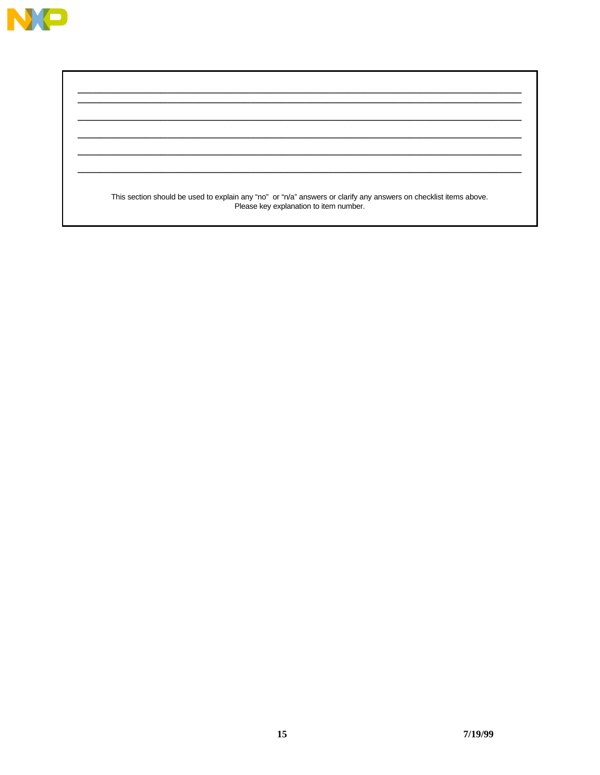